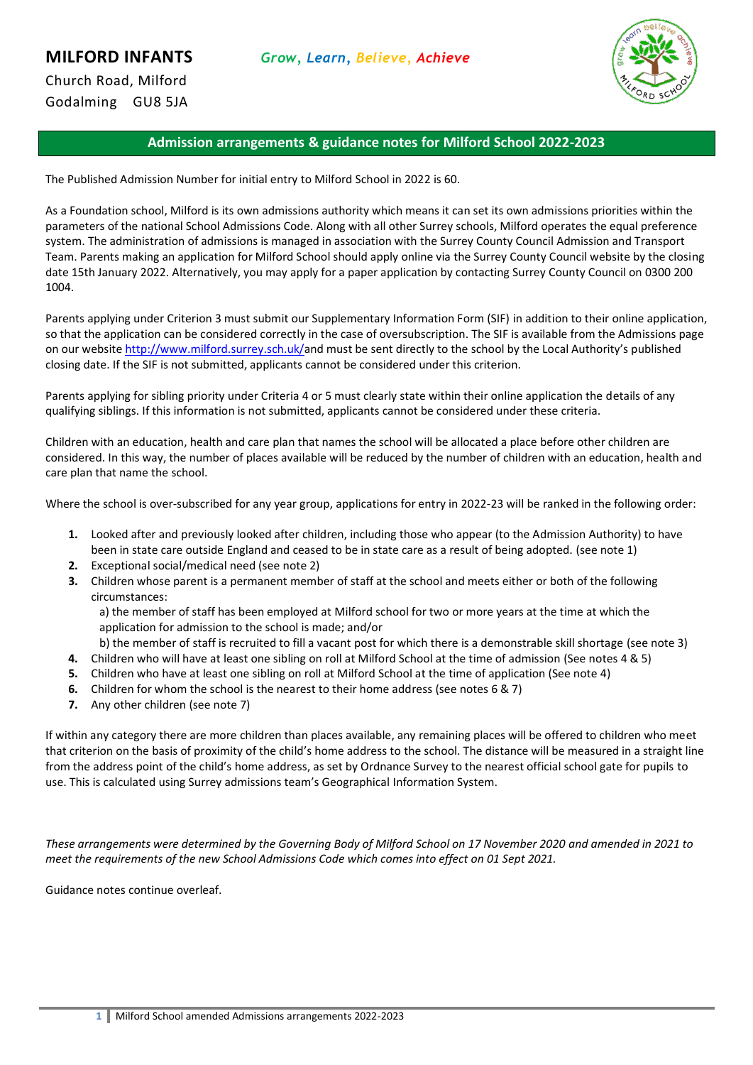

Church Road, Milford Godalming GU8 5JA

# **Admission arrangements & guidance notes for Milford School 2022-2023**

The Published Admission Number for initial entry to Milford School in 2022 is 60.

As a Foundation school, Milford is its own admissions authority which means it can set its own admissions priorities within the parameters of the national School Admissions Code. Along with all other Surrey schools, Milford operates the equal preference system. The administration of admissions is managed in association with the Surrey County Council Admission and Transport Team. Parents making an application for Milford School should apply online via the Surrey County Council website by the closing date 15th January 2022. Alternatively, you may apply for a paper application by contacting Surrey County Council on 0300 200 1004.

Parents applying under Criterion 3 must submit our Supplementary Information Form (SIF) in addition to their online application, so that the application can be considered correctly in the case of oversubscription. The SIF is available from the Admissions page on our website [http://www.milford.surrey.sch.uk/a](http://www.milford.surrey.sch.uk/)nd must be sent directly to the school by the Local Authority's published closing date. If the SIF is not submitted, applicants cannot be considered under this criterion.

Parents applying for sibling priority under Criteria 4 or 5 must clearly state within their online application the details of any qualifying siblings. If this information is not submitted, applicants cannot be considered under these criteria.

Children with an education, health and care plan that names the school will be allocated a place before other children are considered. In this way, the number of places available will be reduced by the number of children with an education, health and care plan that name the school.

Where the school is over-subscribed for any year group, applications for entry in 2022-23 will be ranked in the following order:

- **1.** Looked after and previously looked after children, including those who appear (to the Admission Authority) to have been in state care outside England and ceased to be in state care as a result of being adopted. (see note 1)
- **2.** Exceptional social/medical need (see note 2)
- **3.** Children whose parent is a permanent member of staff at the school and meets either or both of the following circumstances:

a) the member of staff has been employed at Milford school for two or more years at the time at which the application for admission to the school is made; and/or

b) the member of staff is recruited to fill a vacant post for which there is a demonstrable skill shortage (see note 3)

- **4.** Children who will have at least one sibling on roll at Milford School at the time of admission (See notes 4 & 5)
- **5.** Children who have at least one sibling on roll at Milford School at the time of application (See note 4)
- **6.** Children for whom the school is the nearest to their home address (see notes 6 & 7)
- **7.** Any other children (see note 7)

If within any category there are more children than places available, any remaining places will be offered to children who meet that criterion on the basis of proximity of the child's home address to the school. The distance will be measured in a straight line from the address point of the child's home address, as set by Ordnance Survey to the nearest official school gate for pupils to use. This is calculated using Surrey admissions team's Geographical Information System.

*These arrangements were determined by the Governing Body of Milford School on 17 November 2020 and amended in 2021 to meet the requirements of the new School Admissions Code which comes into effect on 01 Sept 2021.*

Guidance notes continue overleaf.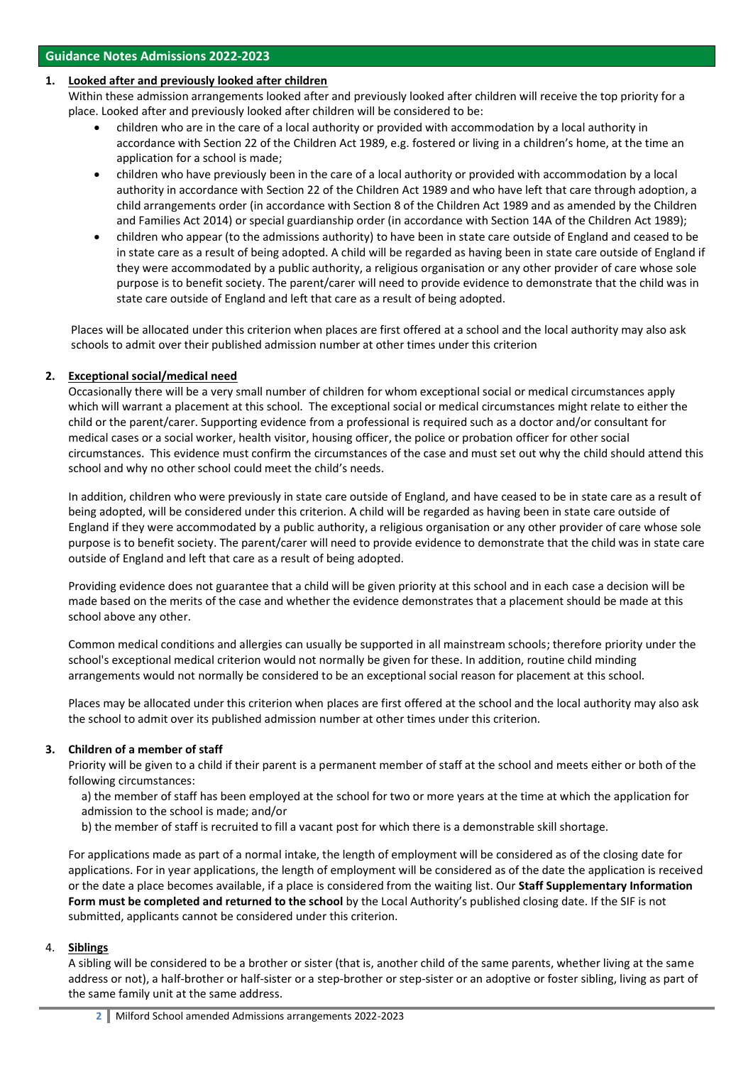## **1. Looked after and previously looked after children**

Within these admission arrangements looked after and previously looked after children will receive the top priority for a place. Looked after and previously looked after children will be considered to be:

- children who are in the care of a local authority or provided with accommodation by a local authority in accordance with Section 22 of the Children Act 1989, e.g. fostered or living in a children's home, at the time an application for a school is made;
- children who have previously been in the care of a local authority or provided with accommodation by a local authority in accordance with Section 22 of the Children Act 1989 and who have left that care through adoption, a child arrangements order (in accordance with Section 8 of the Children Act 1989 and as amended by the Children and Families Act 2014) or special guardianship order (in accordance with Section 14A of the Children Act 1989);
- children who appear (to the admissions authority) to have been in state care outside of England and ceased to be in state care as a result of being adopted. A child will be regarded as having been in state care outside of England if they were accommodated by a public authority, a religious organisation or any other provider of care whose sole purpose is to benefit society. The parent/carer will need to provide evidence to demonstrate that the child was in state care outside of England and left that care as a result of being adopted.

Places will be allocated under this criterion when places are first offered at a school and the local authority may also ask schools to admit over their published admission number at other times under this criterion

## **2. Exceptional social/medical need**

Occasionally there will be a very small number of children for whom exceptional social or medical circumstances apply which will warrant a placement at this school. The exceptional social or medical circumstances might relate to either the child or the parent/carer. Supporting evidence from a professional is required such as a doctor and/or consultant for medical cases or a social worker, health visitor, housing officer, the police or probation officer for other social circumstances. This evidence must confirm the circumstances of the case and must set out why the child should attend this school and why no other school could meet the child's needs.

In addition, children who were previously in state care outside of England, and have ceased to be in state care as a result of being adopted, will be considered under this criterion. A child will be regarded as having been in state care outside of England if they were accommodated by a public authority, a religious organisation or any other provider of care whose sole purpose is to benefit society. The parent/carer will need to provide evidence to demonstrate that the child was in state care outside of England and left that care as a result of being adopted.

Providing evidence does not guarantee that a child will be given priority at this school and in each case a decision will be made based on the merits of the case and whether the evidence demonstrates that a placement should be made at this school above any other.

Common medical conditions and allergies can usually be supported in all mainstream schools; therefore priority under the school's exceptional medical criterion would not normally be given for these. In addition, routine child minding arrangements would not normally be considered to be an exceptional social reason for placement at this school.

Places may be allocated under this criterion when places are first offered at the school and the local authority may also ask the school to admit over its published admission number at other times under this criterion.

## **3. Children of a member of staff**

Priority will be given to a child if their parent is a permanent member of staff at the school and meets either or both of the following circumstances:

- a) the member of staff has been employed at the school for two or more years at the time at which the application for admission to the school is made; and/or
- b) the member of staff is recruited to fill a vacant post for which there is a demonstrable skill shortage.

For applications made as part of a normal intake, the length of employment will be considered as of the closing date for applications. For in year applications, the length of employment will be considered as of the date the application is received or the date a place becomes available, if a place is considered from the waiting list. Our **Staff Supplementary Information Form must be completed and returned to the school** by the Local Authority's published closing date. If the SIF is not submitted, applicants cannot be considered under this criterion.

## 4. **Siblings**

A sibling will be considered to be a brother or sister (that is, another child of the same parents, whether living at the same address or not), a half-brother or half-sister or a step-brother or step-sister or an adoptive or foster sibling, living as part of the same family unit at the same address.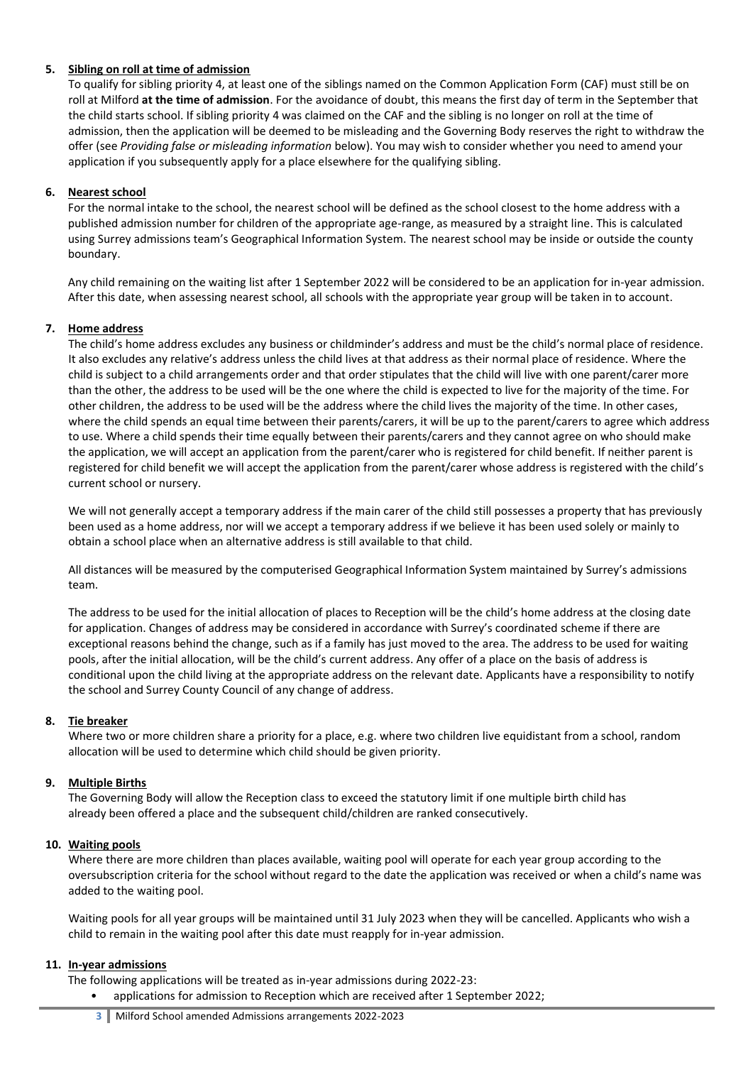## **5. Sibling on roll at time of admission**

To qualify for sibling priority 4, at least one of the siblings named on the Common Application Form (CAF) must still be on roll at Milford **at the time of admission**. For the avoidance of doubt, this means the first day of term in the September that the child starts school. If sibling priority 4 was claimed on the CAF and the sibling is no longer on roll at the time of admission, then the application will be deemed to be misleading and the Governing Body reserves the right to withdraw the offer (see *Providing false or misleading information* below). You may wish to consider whether you need to amend your application if you subsequently apply for a place elsewhere for the qualifying sibling.

## **6. Nearest school**

For the normal intake to the school, the nearest school will be defined as the school closest to the home address with a published admission number for children of the appropriate age-range, as measured by a straight line. This is calculated using Surrey admissions team's Geographical Information System. The nearest school may be inside or outside the county boundary.

Any child remaining on the waiting list after 1 September 2022 will be considered to be an application for in-year admission. After this date, when assessing nearest school, all schools with the appropriate year group will be taken in to account.

## **7. Home address**

The child's home address excludes any business or childminder's address and must be the child's normal place of residence. It also excludes any relative's address unless the child lives at that address as their normal place of residence. Where the child is subject to a child arrangements order and that order stipulates that the child will live with one parent/carer more than the other, the address to be used will be the one where the child is expected to live for the majority of the time. For other children, the address to be used will be the address where the child lives the majority of the time. In other cases, where the child spends an equal time between their parents/carers, it will be up to the parent/carers to agree which address to use. Where a child spends their time equally between their parents/carers and they cannot agree on who should make the application, we will accept an application from the parent/carer who is registered for child benefit. If neither parent is registered for child benefit we will accept the application from the parent/carer whose address is registered with the child's current school or nursery.

We will not generally accept a temporary address if the main carer of the child still possesses a property that has previously been used as a home address, nor will we accept a temporary address if we believe it has been used solely or mainly to obtain a school place when an alternative address is still available to that child.

All distances will be measured by the computerised Geographical Information System maintained by Surrey's admissions team.

The address to be used for the initial allocation of places to Reception will be the child's home address at the closing date for application. Changes of address may be considered in accordance with Surrey's coordinated scheme if there are exceptional reasons behind the change, such as if a family has just moved to the area. The address to be used for waiting pools, after the initial allocation, will be the child's current address. Any offer of a place on the basis of address is conditional upon the child living at the appropriate address on the relevant date. Applicants have a responsibility to notify the school and Surrey County Council of any change of address.

## **8. Tie breaker**

Where two or more children share a priority for a place, e.g. where two children live equidistant from a school, random allocation will be used to determine which child should be given priority.

## **9. Multiple Births**

The Governing Body will allow the Reception class to exceed the statutory limit if one multiple birth child has already been offered a place and the subsequent child/children are ranked consecutively.

## **10. Waiting pools**

Where there are more children than places available, waiting pool will operate for each year group according to the oversubscription criteria for the school without regard to the date the application was received or when a child's name was added to the waiting pool.

Waiting pools for all year groups will be maintained until 31 July 2023 when they will be cancelled. Applicants who wish a child to remain in the waiting pool after this date must reapply for in-year admission.

## **11. In-year admissions**

The following applications will be treated as in-year admissions during 2022-23:

• applications for admission to Reception which are received after 1 September 2022;